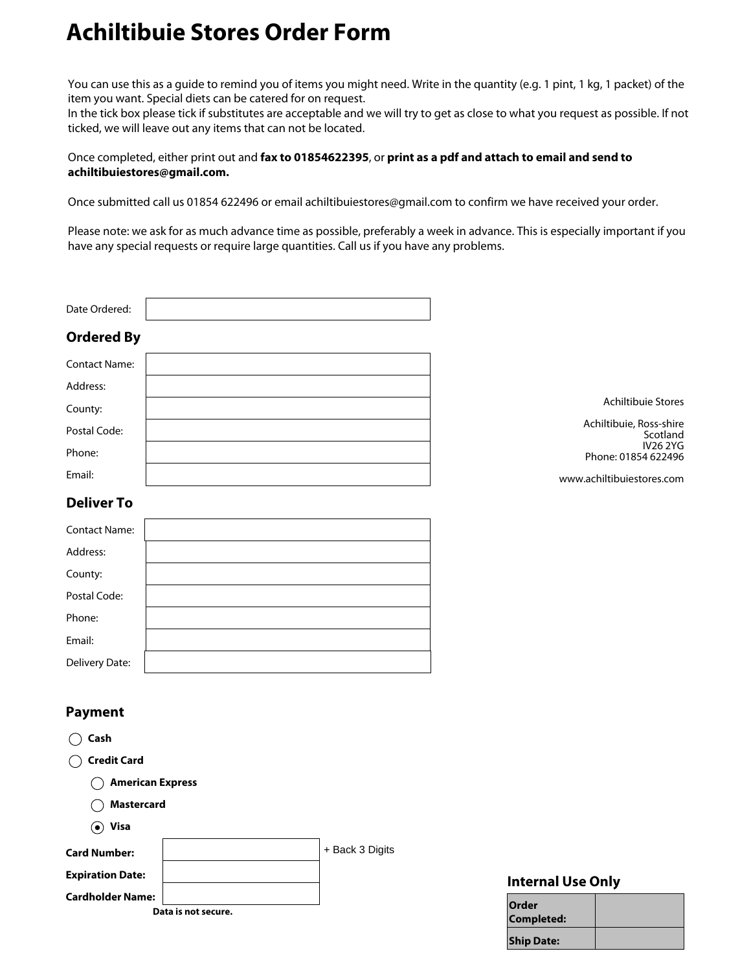## **Achiltibuie Stores Order Form**

You can use this as a guide to remind you of items you might need. Write in the quantity (e.g. 1 pint, 1 kg, 1 packet) of the item you want. Special diets can be catered for on request.

In the tick box please tick if substitutes are acceptable and we will try to get as close to what you request as possible. If not ticked, we will leave out any items that can not be located.

## Once completed, either print out and **fax to 01854622395**, or **print as a pdf and attach to email and send to achiltibuiestores@gmail.com.**

Once submitted call us 01854 622496 or email achiltibuiestores@gmail.com to confirm we have received your order.

Please note: we ask for as much advance time as possible, preferably a week in advance. This is especially important if you have any special requests or require large quantities. Call us if you have any problems.

| Date Ordered:                                      |                                        |
|----------------------------------------------------|----------------------------------------|
| <b>Ordered By</b>                                  |                                        |
| <b>Contact Name:</b>                               |                                        |
| Address:                                           |                                        |
| County:                                            | Achiltibuie Stores                     |
| Postal Code:                                       | Achiltibuie, Ross-shire<br>Scotland    |
| Phone:                                             | <b>IV26 2YG</b><br>Phone: 01854 622496 |
| Email:                                             | www.achiltibuiestores.com              |
| <b>Deliver To</b>                                  |                                        |
| <b>Contact Name:</b>                               |                                        |
| Address:                                           |                                        |
| County:                                            |                                        |
| Postal Code:                                       |                                        |
| Phone:                                             |                                        |
| Email:                                             |                                        |
| Delivery Date:                                     |                                        |
| <b>Payment</b>                                     |                                        |
| Cash<br>$($ )                                      |                                        |
| <b>Credit Card</b><br>$\hspace{0.1cm} \rightarrow$ |                                        |
| <b>American Express</b>                            |                                        |
| <b>Mastercard</b>                                  |                                        |
| $\odot$ Visa                                       |                                        |
| <b>Card Number:</b>                                | + Back 3 Digits                        |
| <b>Expiration Date:</b>                            | <b>Internal Use Only</b>               |
| <b>Cardholder Name:</b>                            | Order                                  |
| Data is not secure.                                | Completed:                             |
|                                                    | <b>Ship Date:</b>                      |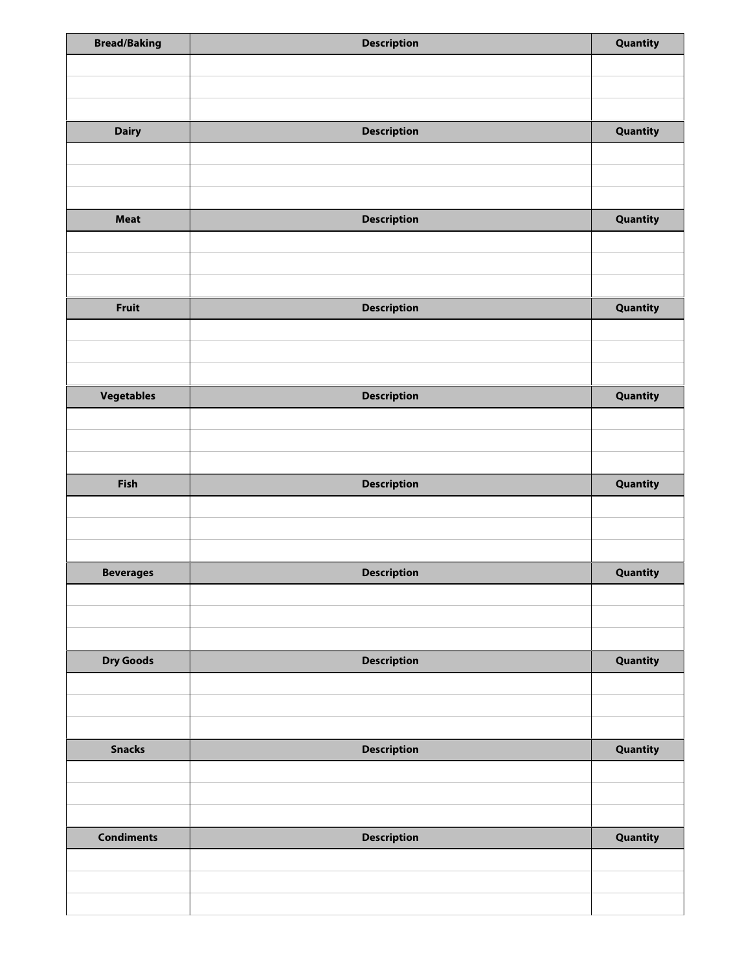| <b>Bread/Baking</b> | <b>Description</b> | Quantity |
|---------------------|--------------------|----------|
|                     |                    |          |
|                     |                    |          |
|                     |                    |          |
| <b>Dairy</b>        | <b>Description</b> | Quantity |
|                     |                    |          |
|                     |                    |          |
|                     |                    |          |
| <b>Meat</b>         | <b>Description</b> | Quantity |
|                     |                    |          |
|                     |                    |          |
|                     |                    |          |
| <b>Fruit</b>        |                    |          |
|                     | <b>Description</b> | Quantity |
|                     |                    |          |
|                     |                    |          |
|                     |                    |          |
| Vegetables          | <b>Description</b> | Quantity |
|                     |                    |          |
|                     |                    |          |
|                     |                    |          |
| Fish                | <b>Description</b> | Quantity |
|                     |                    |          |
|                     |                    |          |
|                     |                    |          |
| <b>Beverages</b>    | <b>Description</b> | Quantity |
|                     |                    |          |
|                     |                    |          |
|                     |                    |          |
| <b>Dry Goods</b>    | <b>Description</b> | Quantity |
|                     |                    |          |
|                     |                    |          |
|                     |                    |          |
| <b>Snacks</b>       | <b>Description</b> | Quantity |
|                     |                    |          |
|                     |                    |          |
|                     |                    |          |
| <b>Condiments</b>   | <b>Description</b> | Quantity |
|                     |                    |          |
|                     |                    |          |
|                     |                    |          |